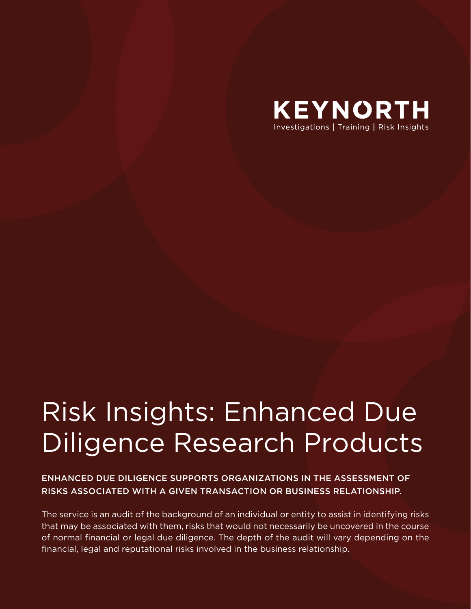

# Risk Insights: Enhanced Due Diligence Research Products

ENHANCED DUE DILIGENCE SUPPORTS ORGANIZATIONS IN THE ASSESSMENT OF RISKS ASSOCIATED WITH A GIVEN TRANSACTION OR BUSINESS RELATIONSHIP.

The service is an audit of the background of an individual or entity to assist in identifying risks that may be associated with them, risks that would not necessarily be uncovered in the course of normal financial or legal due diligence. The depth of the audit will vary depending on the financial, legal and reputational risks involved in the business relationship.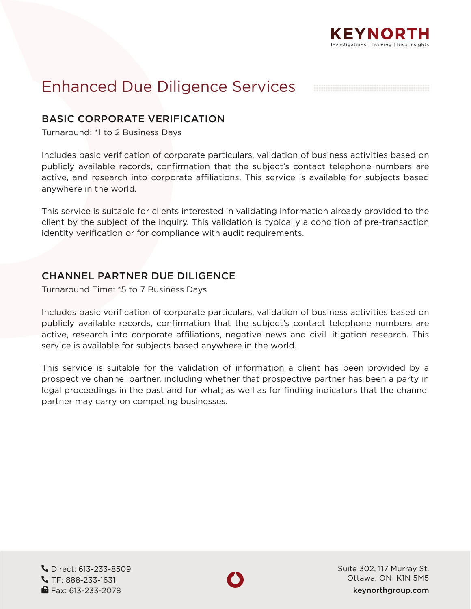

# Enhanced Due Diligence Services

### BASIC CORPORATE VERIFICATION

Turnaround: \*1 to 2 Business Days

Includes basic verification of corporate particulars, validation of business activities based on publicly available records, confirmation that the subject's contact telephone numbers are active, and research into corporate affiliations. This service is available for subjects based anywhere in the world.

This service is suitable for clients interested in validating information already provided to the client by the subject of the inquiry. This validation is typically a condition of pre-transaction identity verification or for compliance with audit requirements.

#### CHANNEL PARTNER DUE DILIGENCE

Turnaround Time: \*5 to 7 Business Days

Includes basic verification of corporate particulars, validation of business activities based on publicly available records, confirmation that the subject's contact telephone numbers are active, research into corporate affiliations, negative news and civil litigation research. This service is available for subjects based anywhere in the world.

This service is suitable for the validation of information a client has been provided by a prospective channel partner, including whether that prospective partner has been a party in legal proceedings in the past and for what; as well as for finding indicators that the channel partner may carry on competing businesses.

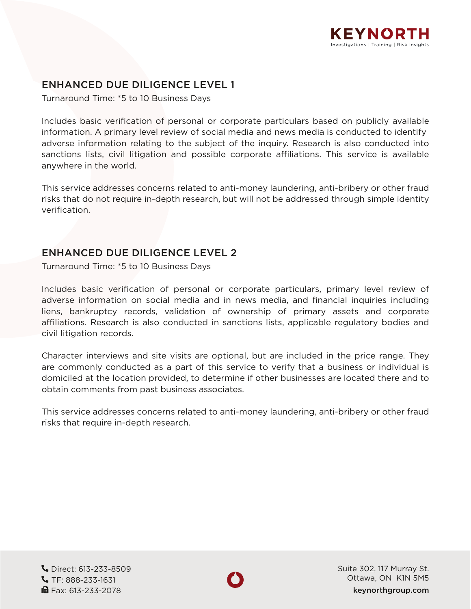

## ENHANCED DUE DILIGENCE LEVEL 1

Turnaround Time: \*5 to 10 Business Days

Includes basic verification of personal or corporate particulars based on publicly available information. A primary level review of social media and news media is conducted to identify adverse information relating to the subject of the inquiry. Research is also conducted into sanctions lists, civil litigation and possible corporate affiliations. This service is available anywhere in the world.

This service addresses concerns related to anti-money laundering, anti-bribery or other fraud risks that do not require in-depth research, but will not be addressed through simple identity verification.

#### ENHANCED DUE DILIGENCE LEVEL 2

Turnaround Time: \*5 to 10 Business Days

Includes basic verification of personal or corporate particulars, primary level review of adverse information on social media and in news media, and financial inquiries including liens, bankruptcy records, validation of ownership of primary assets and corporate affiliations. Research is also conducted in sanctions lists, applicable regulatory bodies and civil litigation records.

Character interviews and site visits are optional, but are included in the price range. They are commonly conducted as a part of this service to verify that a business or individual is domiciled at the location provided, to determine if other businesses are located there and to obtain comments from past business associates.

This service addresses concerns related to anti-money laundering, anti-bribery or other fraud risks that require in-depth research.